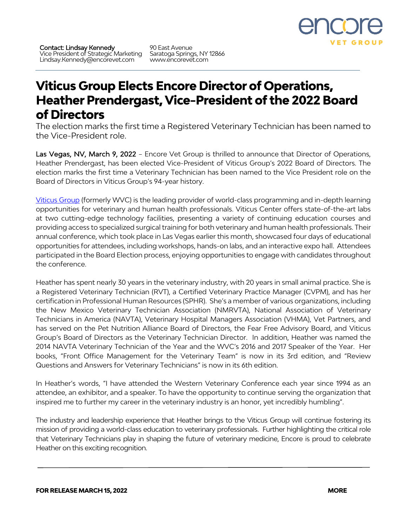

90 East Avenue Saratoga Springs, NY 12866 www.encorevet.com

## **Viticus Group Elects Encore Director of Operations, Heather Prendergast, Vice-President of the 2022 Board of Directors**

The election marks the first time a Registered Veterinary Technician has been named to the Vice-President role.

Las Vegas, NV, March 9, 2022 - Encore Vet Group is thrilled to announce that Director of Operations, Heather Prendergast, has been elected Vice-President of Viticus Group's 2022 Board of Directors. The election marks the first time a Veterinary Technician has been named to the Vice President role on the Board of Directors in Viticus Group's 94-year history.

Viticus Group (formerly WVC) is the leading provider of world-class programming and in-depth learning opportunities for veterinary and human health professionals. Viticus Center offers state-of-the-art labs at two cutting-edge technology facilities, presenting a variety of continuing education courses and providing access to specialized surgical training for both veterinary and human health professionals. Their annual conference, which took place in Las Vegas earlier this month, showcased four days of educational opportunities for attendees, including workshops, hands-on labs, and an interactive expo hall. Attendees participated in the Board Election process, enjoying opportunities to engage with candidates throughout the conference.

Heather has spent nearly 30 years in the veterinary industry, with 20 years in small animal practice. She is a Registered Veterinary Technician (RVT), a Certified Veterinary Practice Manager (CVPM), and has her certification in Professional Human Resources (SPHR). She's a member of various organizations, including the New Mexico Veterinary Technician Association (NMRVTA), National Association of Veterinary Technicians in America (NAVTA), Veterinary Hospital Managers Association (VHMA), Vet Partners, and has served on the Pet Nutrition Alliance Board of Directors, the Fear Free Advisory Board, and Viticus Group's Board of Directors as the Veterinary Technician Director. In addition, Heather was named the 2014 NAVTA Veterinary Technician of the Year and the WVC's 2016 and 2017 Speaker of the Year. Her books, "Front Office Management for the Veterinary Team" is now in its 3rd edition, and "Review Questions and Answers for Veterinary Technicians" is now in its 6th edition.

In Heather's words, "I have attended the Western Veterinary Conference each year since 1994 as an attendee, an exhibitor, and a speaker. To have the opportunity to continue serving the organization that inspired me to further my career in the veterinary industry is an honor, yet incredibly humbling".

The industry and leadership experience that Heather brings to the Viticus Group will continue fostering its mission of providing a world-class education to veterinary professionals. Further highlighting the critical role that Veterinary Technicians play in shaping the future of veterinary medicine, Encore is proud to celebrate Heather on this exciting recognition.